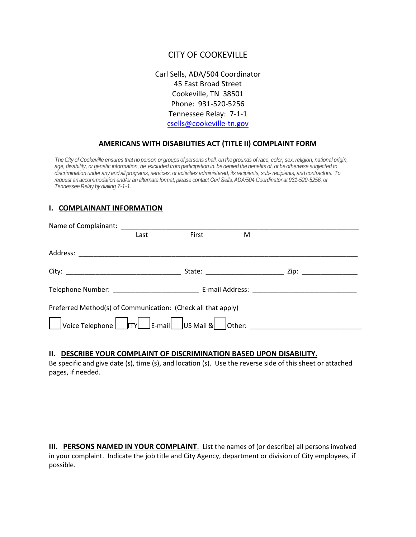# CITY OF COOKEVILLE

Carl Sells, ADA/504 Coordinator 45 East Broad Street Cookeville, TN 38501 Phone: 931-520-5256 Tennessee Relay: 7-1-1 csells[@cookeville-tn.gov](mailto:gfowler@cookeville-tn.gov)

## **AMERICANS WITH DISABILITIES ACT (TITLE II) COMPLAINT FORM**

The City of Cookeville ensures that no person or groups of persons shall, on the grounds of race, color, sex, religion, national origin, age, disability, or genetic information, be excluded from participation in, be denied the benefits of, or be otherwise subjected to discrimination under any and all programs, services, or activities administered, its recipients, sub- recipients, and contractors. To request an accommodation and/or an alternate format, please contact Carl Sells, ADA/504 Coordinator at 931-520-5256, or *Tennessee Relay by dialing 7-1-1.*

### **I. COMPLAINANT INFORMATION**

| Name of Complainant: Name of Complainant:                    |      |       |   |                     |  |
|--------------------------------------------------------------|------|-------|---|---------------------|--|
|                                                              | Last | First | M |                     |  |
|                                                              |      |       |   |                     |  |
|                                                              |      |       |   | Zip: ______________ |  |
|                                                              |      |       |   |                     |  |
| Preferred Method(s) of Communication: (Check all that apply) |      |       |   |                     |  |
|                                                              |      |       |   |                     |  |

#### **II. DESCRIBE YOUR COMPLAINT OF DISCRIMINATION BASED UPON DISABILITY.**

Be specific and give date (s), time (s), and location (s). Use the reverse side of this sheet or attached pages, if needed.

**III. PERSONS NAMED IN YOUR COMPLAINT**. List the names of (or describe) all persons involved in your complaint. Indicate the job title and City Agency, department or division of City employees, if possible.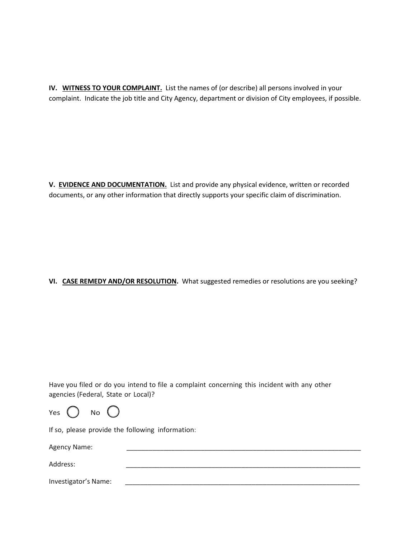**IV. WITNESS TO YOUR COMPLAINT.** List the names of (or describe) all persons involved in your complaint. Indicate the job title and City Agency, department or division of City employees, if possible.

**V. EVIDENCE AND DOCUMENTATION.** List and provide any physical evidence, written or recorded documents, or any other information that directly supports your specific claim of discrimination.

## **VI. CASE REMEDY AND/OR RESOLUTION.** What suggested remedies or resolutions are you seeking?

Have you filed or do you intend to file a complaint concerning this incident with any other agencies (Federal, State or Local)?

| Yes | No |  |
|-----|----|--|
|-----|----|--|

If so, please provide the following information:

Agency Name:

Address: \_\_\_\_\_\_\_\_\_\_\_\_\_\_\_\_\_\_\_\_\_\_\_\_\_\_\_\_\_\_\_\_\_\_\_\_\_\_\_\_\_\_\_\_\_\_\_\_\_\_\_\_\_\_\_\_\_\_\_\_\_\_\_

Investigator's Name: \_\_\_\_\_\_\_\_\_\_\_\_\_\_\_\_\_\_\_\_\_\_\_\_\_\_\_\_\_\_\_\_\_\_\_\_\_\_\_\_\_\_\_\_\_\_\_\_\_\_\_\_\_\_\_\_\_\_\_\_\_\_\_